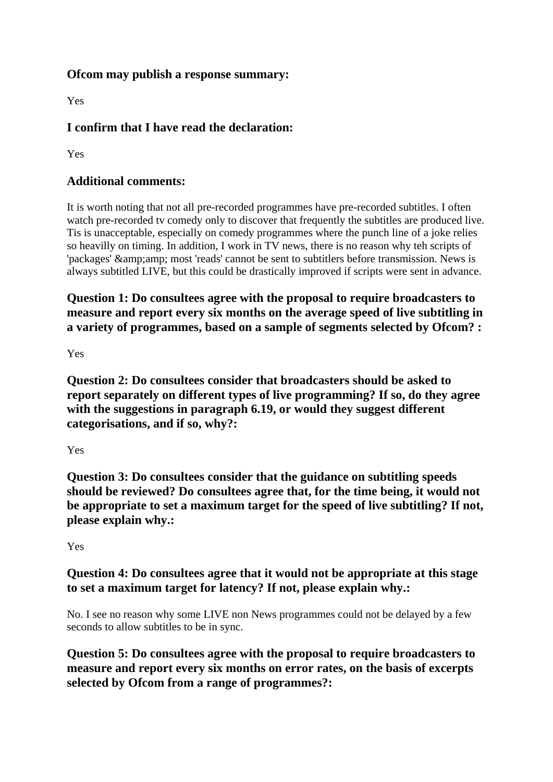## **Ofcom may publish a response summary:**

Yes

## **I confirm that I have read the declaration:**

Yes

## **Additional comments:**

It is worth noting that not all pre-recorded programmes have pre-recorded subtitles. I often watch pre-recorded tv comedy only to discover that frequently the subtitles are produced live. Tis is unacceptable, especially on comedy programmes where the punch line of a joke relies so heavilly on timing. In addition, I work in TV news, there is no reason why teh scripts of 'packages' & amp; amp; most 'reads' cannot be sent to subtitlers before transmission. News is always subtitled LIVE, but this could be drastically improved if scripts were sent in advance.

**Question 1: Do consultees agree with the proposal to require broadcasters to measure and report every six months on the average speed of live subtitling in a variety of programmes, based on a sample of segments selected by Ofcom? :**

Yes

**Question 2: Do consultees consider that broadcasters should be asked to report separately on different types of live programming? If so, do they agree with the suggestions in paragraph 6.19, or would they suggest different categorisations, and if so, why?:**

Yes

**Question 3: Do consultees consider that the guidance on subtitling speeds should be reviewed? Do consultees agree that, for the time being, it would not be appropriate to set a maximum target for the speed of live subtitling? If not, please explain why.:**

Yes

## **Question 4: Do consultees agree that it would not be appropriate at this stage to set a maximum target for latency? If not, please explain why.:**

No. I see no reason why some LIVE non News programmes could not be delayed by a few seconds to allow subtitles to be in sync.

**Question 5: Do consultees agree with the proposal to require broadcasters to measure and report every six months on error rates, on the basis of excerpts selected by Ofcom from a range of programmes?:**